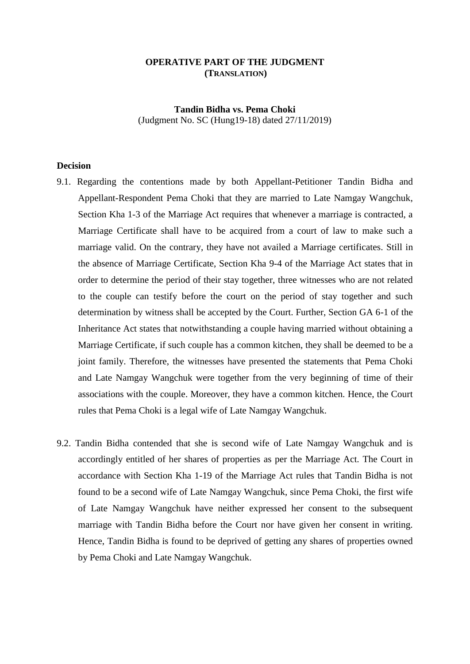## **OPERATIVE PART OF THE JUDGMENT (TRANSLATION)**

**Tandin Bidha vs. Pema Choki** (Judgment No. SC (Hung19-18) dated 27/11/2019)

## **Decision**

- 9.1. Regarding the contentions made by both Appellant-Petitioner Tandin Bidha and Appellant-Respondent Pema Choki that they are married to Late Namgay Wangchuk, Section Kha 1-3 of the Marriage Act requires that whenever a marriage is contracted, a Marriage Certificate shall have to be acquired from a court of law to make such a marriage valid. On the contrary, they have not availed a Marriage certificates. Still in the absence of Marriage Certificate, Section Kha 9-4 of the Marriage Act states that in order to determine the period of their stay together, three witnesses who are not related to the couple can testify before the court on the period of stay together and such determination by witness shall be accepted by the Court. Further, Section GA 6-1 of the Inheritance Act states that notwithstanding a couple having married without obtaining a Marriage Certificate, if such couple has a common kitchen, they shall be deemed to be a joint family. Therefore, the witnesses have presented the statements that Pema Choki and Late Namgay Wangchuk were together from the very beginning of time of their associations with the couple. Moreover, they have a common kitchen. Hence, the Court rules that Pema Choki is a legal wife of Late Namgay Wangchuk.
- 9.2. Tandin Bidha contended that she is second wife of Late Namgay Wangchuk and is accordingly entitled of her shares of properties as per the Marriage Act. The Court in accordance with Section Kha 1-19 of the Marriage Act rules that Tandin Bidha is not found to be a second wife of Late Namgay Wangchuk, since Pema Choki, the first wife of Late Namgay Wangchuk have neither expressed her consent to the subsequent marriage with Tandin Bidha before the Court nor have given her consent in writing. Hence, Tandin Bidha is found to be deprived of getting any shares of properties owned by Pema Choki and Late Namgay Wangchuk.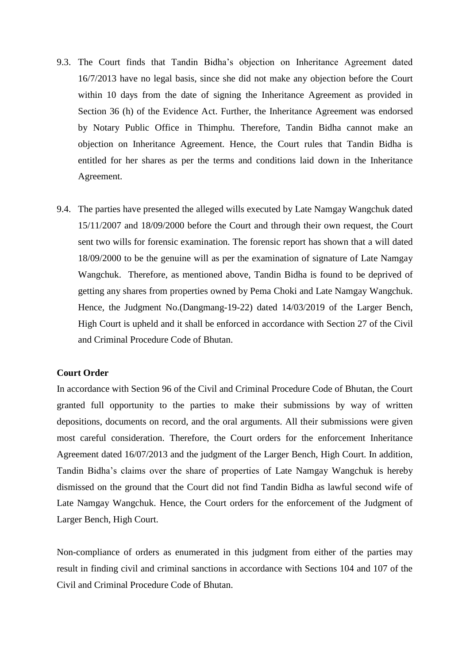- 9.3. The Court finds that Tandin Bidha's objection on Inheritance Agreement dated 16/7/2013 have no legal basis, since she did not make any objection before the Court within 10 days from the date of signing the Inheritance Agreement as provided in Section 36 (h) of the Evidence Act. Further, the Inheritance Agreement was endorsed by Notary Public Office in Thimphu. Therefore, Tandin Bidha cannot make an objection on Inheritance Agreement. Hence, the Court rules that Tandin Bidha is entitled for her shares as per the terms and conditions laid down in the Inheritance Agreement.
- 9.4. The parties have presented the alleged wills executed by Late Namgay Wangchuk dated 15/11/2007 and 18/09/2000 before the Court and through their own request, the Court sent two wills for forensic examination. The forensic report has shown that a will dated 18/09/2000 to be the genuine will as per the examination of signature of Late Namgay Wangchuk. Therefore, as mentioned above, Tandin Bidha is found to be deprived of getting any shares from properties owned by Pema Choki and Late Namgay Wangchuk. Hence, the Judgment No.(Dangmang-19-22) dated 14/03/2019 of the Larger Bench, High Court is upheld and it shall be enforced in accordance with Section 27 of the Civil and Criminal Procedure Code of Bhutan.

## **Court Order**

In accordance with Section 96 of the Civil and Criminal Procedure Code of Bhutan, the Court granted full opportunity to the parties to make their submissions by way of written depositions, documents on record, and the oral arguments. All their submissions were given most careful consideration. Therefore, the Court orders for the enforcement Inheritance Agreement dated 16/07/2013 and the judgment of the Larger Bench, High Court. In addition, Tandin Bidha's claims over the share of properties of Late Namgay Wangchuk is hereby dismissed on the ground that the Court did not find Tandin Bidha as lawful second wife of Late Namgay Wangchuk. Hence, the Court orders for the enforcement of the Judgment of Larger Bench, High Court.

Non-compliance of orders as enumerated in this judgment from either of the parties may result in finding civil and criminal sanctions in accordance with Sections 104 and 107 of the Civil and Criminal Procedure Code of Bhutan.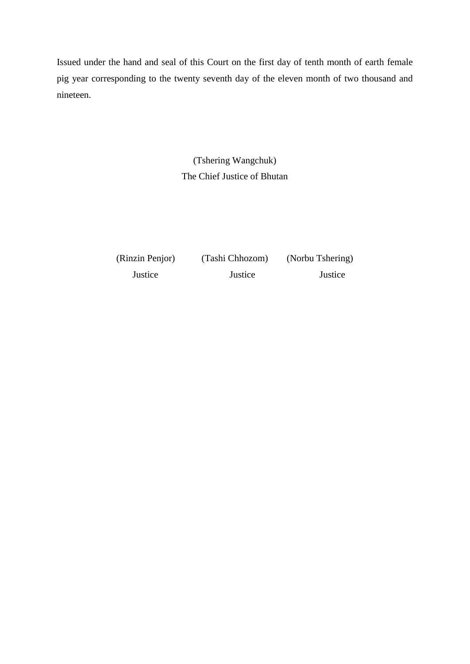Issued under the hand and seal of this Court on the first day of tenth month of earth female pig year corresponding to the twenty seventh day of the eleven month of two thousand and nineteen.

> (Tshering Wangchuk) The Chief Justice of Bhutan

(Rinzin Penjor) (Tashi Chhozom) (Norbu Tshering) Justice Justice Justice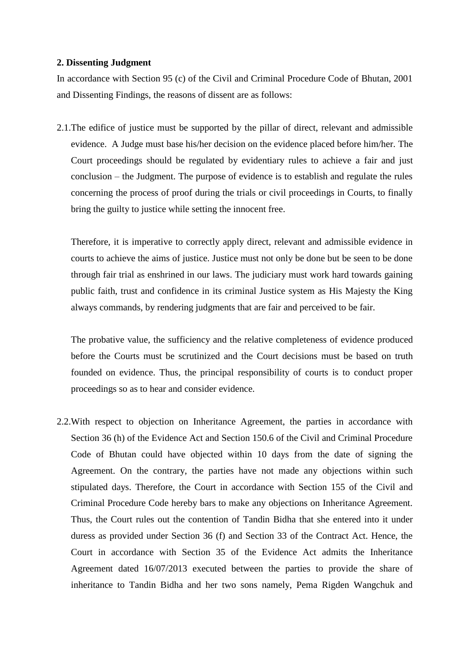## **2. Dissenting Judgment**

In accordance with Section 95 (c) of the Civil and Criminal Procedure Code of Bhutan, 2001 and Dissenting Findings, the reasons of dissent are as follows:

2.1.The edifice of justice must be supported by the pillar of direct, relevant and admissible evidence. A Judge must base his/her decision on the evidence placed before him/her. The Court proceedings should be regulated by evidentiary rules to achieve a fair and just conclusion – the Judgment. The purpose of evidence is to establish and regulate the rules concerning the process of proof during the trials or civil proceedings in Courts, to finally bring the guilty to justice while setting the innocent free.

Therefore, it is imperative to correctly apply direct, relevant and admissible evidence in courts to achieve the aims of justice. Justice must not only be done but be seen to be done through fair trial as enshrined in our laws. The judiciary must work hard towards gaining public faith, trust and confidence in its criminal Justice system as His Majesty the King always commands, by rendering judgments that are fair and perceived to be fair.

The probative value, the sufficiency and the relative completeness of evidence produced before the Courts must be scrutinized and the Court decisions must be based on truth founded on evidence. Thus, the principal responsibility of courts is to conduct proper proceedings so as to hear and consider evidence.

2.2.With respect to objection on Inheritance Agreement, the parties in accordance with Section 36 (h) of the Evidence Act and Section 150.6 of the Civil and Criminal Procedure Code of Bhutan could have objected within 10 days from the date of signing the Agreement. On the contrary, the parties have not made any objections within such stipulated days. Therefore, the Court in accordance with Section 155 of the Civil and Criminal Procedure Code hereby bars to make any objections on Inheritance Agreement. Thus, the Court rules out the contention of Tandin Bidha that she entered into it under duress as provided under Section 36 (f) and Section 33 of the Contract Act. Hence, the Court in accordance with Section 35 of the Evidence Act admits the Inheritance Agreement dated 16/07/2013 executed between the parties to provide the share of inheritance to Tandin Bidha and her two sons namely, Pema Rigden Wangchuk and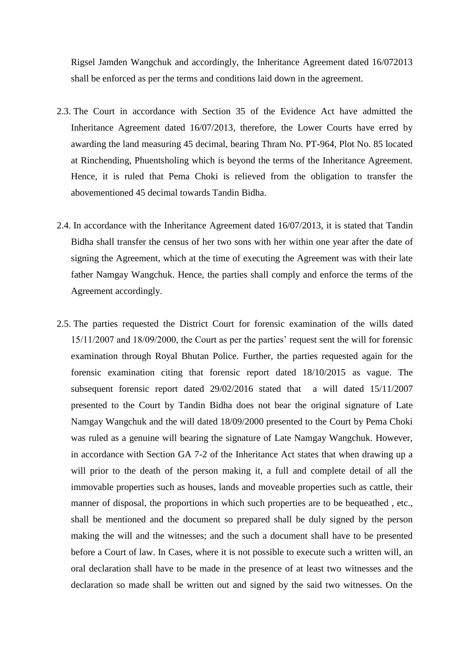Rigsel Jamden Wangchuk and accordingly, the Inheritance Agreement dated 16/072013 shall be enforced as per the terms and conditions laid down in the agreement.

- 2.3. The Court in accordance with Section 35 of the Evidence Act have admitted the Inheritance Agreement dated 16/07/2013, therefore, the Lower Courts have erred by awarding the land measuring 45 decimal, bearing Thram No. PT-964, Plot No. 85 located at Rinchending, Phuentsholing which is beyond the terms of the Inheritance Agreement. Hence, it is ruled that Pema Choki is relieved from the obligation to transfer the abovementioned 45 decimal towards Tandin Bidha.
- 2.4. In accordance with the Inheritance Agreement dated 16/07/2013, it is stated that Tandin Bidha shall transfer the census of her two sons with her within one year after the date of signing the Agreement, which at the time of executing the Agreement was with their late father Namgay Wangchuk. Hence, the parties shall comply and enforce the terms of the Agreement accordingly.
- 2.5. The parties requested the District Court for forensic examination of the wills dated 15/11/2007 and 18/09/2000, the Court as per the parties' request sent the will for forensic examination through Royal Bhutan Police. Further, the parties requested again for the forensic examination citing that forensic report dated 18/10/2015 as vague. The subsequent forensic report dated 29/02/2016 stated that a will dated 15/11/2007 presented to the Court by Tandin Bidha does not bear the original signature of Late Namgay Wangchuk and the will dated 18/09/2000 presented to the Court by Pema Choki was ruled as a genuine will bearing the signature of Late Namgay Wangchuk. However, in accordance with Section GA 7-2 of the Inheritance Act states that when drawing up a will prior to the death of the person making it, a full and complete detail of all the immovable properties such as houses, lands and moveable properties such as cattle, their manner of disposal, the proportions in which such properties are to be bequeathed , etc., shall be mentioned and the document so prepared shall be duly signed by the person making the will and the witnesses; and the such a document shall have to be presented before a Court of law. In Cases, where it is not possible to execute such a written will, an oral declaration shall have to be made in the presence of at least two witnesses and the declaration so made shall be written out and signed by the said two witnesses. On the